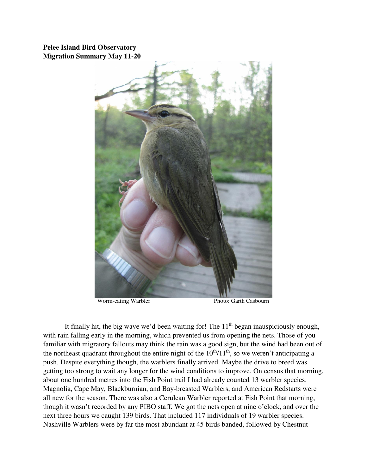**Pelee Island Bird Observatory Migration Summary May 11-20** 



Worm-eating Warbler Photo: Garth Casbourn

It finally hit, the big wave we'd been waiting for! The  $11<sup>th</sup>$  began inauspiciously enough, with rain falling early in the morning, which prevented us from opening the nets. Those of you familiar with migratory fallouts may think the rain was a good sign, but the wind had been out of the northeast quadrant throughout the entire night of the  $10<sup>th</sup>/11<sup>th</sup>$ , so we weren't anticipating a push. Despite everything though, the warblers finally arrived. Maybe the drive to breed was getting too strong to wait any longer for the wind conditions to improve. On census that morning, about one hundred metres into the Fish Point trail I had already counted 13 warbler species. Magnolia, Cape May, Blackburnian, and Bay-breasted Warblers, and American Redstarts were all new for the season. There was also a Cerulean Warbler reported at Fish Point that morning, though it wasn't recorded by any PIBO staff. We got the nets open at nine o'clock, and over the next three hours we caught 139 birds. That included 117 individuals of 19 warbler species. Nashville Warblers were by far the most abundant at 45 birds banded, followed by Chestnut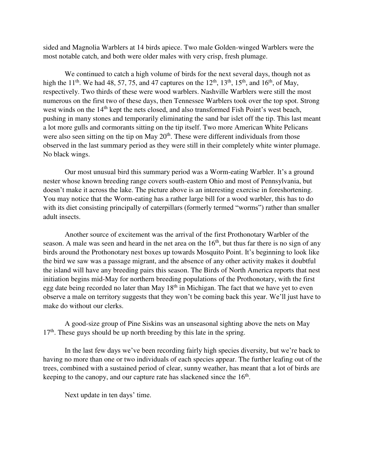sided and Magnolia Warblers at 14 birds apiece. Two male Golden-winged Warblers were the most notable catch, and both were older males with very crisp, fresh plumage.

 We continued to catch a high volume of birds for the next several days, though not as high the 11<sup>th</sup>. We had 48, 57, 75, and 47 captures on the  $12^{th}$ ,  $13^{th}$ ,  $15^{th}$ , and  $16^{th}$ , of May, respectively. Two thirds of these were wood warblers. Nashville Warblers were still the most numerous on the first two of these days, then Tennessee Warblers took over the top spot. Strong west winds on the 14<sup>th</sup> kept the nets closed, and also transformed Fish Point's west beach, pushing in many stones and temporarily eliminating the sand bar islet off the tip. This last meant a lot more gulls and cormorants sitting on the tip itself. Two more American White Pelicans were also seen sitting on the tip on May  $20<sup>th</sup>$ . These were different individuals from those observed in the last summary period as they were still in their completely white winter plumage. No black wings.

 Our most unusual bird this summary period was a Worm-eating Warbler. It's a ground nester whose known breeding range covers south-eastern Ohio and most of Pennsylvania, but doesn't make it across the lake. The picture above is an interesting exercise in foreshortening. You may notice that the Worm-eating has a rather large bill for a wood warbler, this has to do with its diet consisting principally of caterpillars (formerly termed "worms") rather than smaller adult insects.

 Another source of excitement was the arrival of the first Prothonotary Warbler of the season. A male was seen and heard in the net area on the  $16<sup>th</sup>$ , but thus far there is no sign of any birds around the Prothonotary nest boxes up towards Mosquito Point. It's beginning to look like the bird we saw was a passage migrant, and the absence of any other activity makes it doubtful the island will have any breeding pairs this season. The Birds of North America reports that nest initiation begins mid-May for northern breeding populations of the Prothonotary, with the first egg date being recorded no later than May 18<sup>th</sup> in Michigan. The fact that we have yet to even observe a male on territory suggests that they won't be coming back this year. We'll just have to make do without our clerks.

 A good-size group of Pine Siskins was an unseasonal sighting above the nets on May  $17<sup>th</sup>$ . These guys should be up north breeding by this late in the spring.

In the last few days we've been recording fairly high species diversity, but we're back to having no more than one or two individuals of each species appear. The further leafing out of the trees, combined with a sustained period of clear, sunny weather, has meant that a lot of birds are keeping to the canopy, and our capture rate has slackened since the  $16<sup>th</sup>$ .

Next update in ten days' time.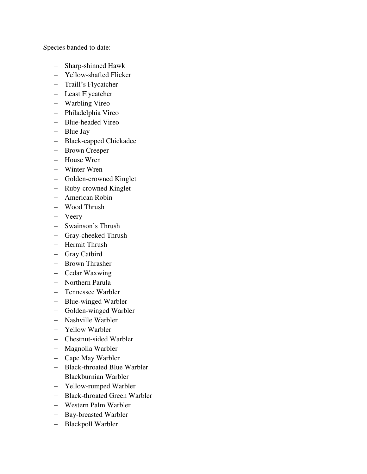Species banded to date:

- Sharp-shinned Hawk
- Yellow-shafted Flicker
- Traill's Flycatcher
- Least Flycatcher
- Warbling Vireo
- Philadelphia Vireo
- Blue-headed Vireo
- Blue Jay
- Black-capped Chickadee
- Brown Creeper
- House Wren
- Winter Wren
- Golden-crowned Kinglet
- Ruby-crowned Kinglet
- American Robin
- Wood Thrush
- Veery
- Swainson's Thrush
- Gray-cheeked Thrush
- Hermit Thrush
- Gray Catbird
- Brown Thrasher
- Cedar Waxwing
- Northern Parula
- Tennessee Warbler
- Blue-winged Warbler
- Golden-winged Warbler
- Nashville Warbler
- Yellow Warbler
- Chestnut-sided Warbler
- Magnolia Warbler
- Cape May Warbler
- Black-throated Blue Warbler
- Blackburnian Warbler
- Yellow-rumped Warbler
- Black-throated Green Warbler
- Western Palm Warbler
- Bay-breasted Warbler
- Blackpoll Warbler